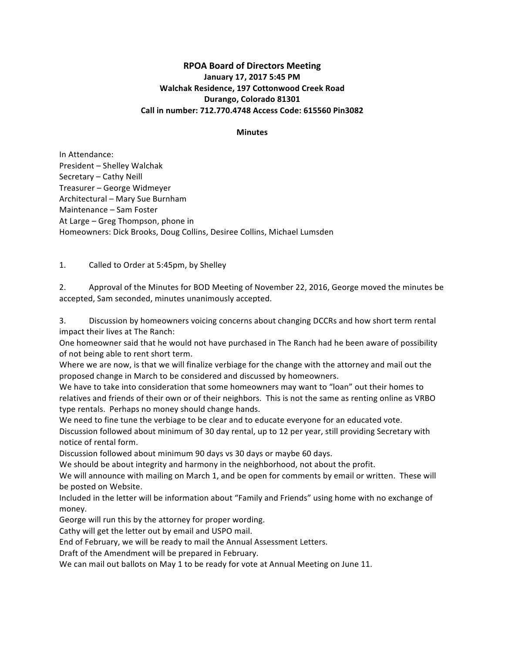# **RPOA Board of Directors Meeting January 17, 2017 5:45 PM Walchak Residence, 197 Cottonwood Creek Road Durango, Colorado 81301 Call in number: 712.770.4748 Access Code: 615560 Pin3082**

#### **Minutes**

In Attendance: President - Shelley Walchak Secretary - Cathy Neill Treasurer - George Widmeyer Architectural - Mary Sue Burnham Maintenance - Sam Foster At Large  $-$  Greg Thompson, phone in Homeowners: Dick Brooks, Doug Collins, Desiree Collins, Michael Lumsden

1. Called to Order at 5:45pm, by Shelley

2. Approval of the Minutes for BOD Meeting of November 22, 2016, George moved the minutes be accepted, Sam seconded, minutes unanimously accepted.

3. Discussion by homeowners voicing concerns about changing DCCRs and how short term rental impact their lives at The Ranch:

One homeowner said that he would not have purchased in The Ranch had he been aware of possibility of not being able to rent short term.

Where we are now, is that we will finalize verbiage for the change with the attorney and mail out the proposed change in March to be considered and discussed by homeowners.

We have to take into consideration that some homeowners may want to "loan" out their homes to relatives and friends of their own or of their neighbors. This is not the same as renting online as VRBO type rentals. Perhaps no money should change hands.

We need to fine tune the verbiage to be clear and to educate everyone for an educated vote. Discussion followed about minimum of 30 day rental, up to 12 per year, still providing Secretary with notice of rental form.

Discussion followed about minimum 90 days vs 30 days or maybe 60 days.

We should be about integrity and harmony in the neighborhood, not about the profit.

We will announce with mailing on March 1, and be open for comments by email or written. These will be posted on Website.

Included in the letter will be information about "Family and Friends" using home with no exchange of money.

George will run this by the attorney for proper wording.

Cathy will get the letter out by email and USPO mail.

End of February, we will be ready to mail the Annual Assessment Letters.

Draft of the Amendment will be prepared in February.

We can mail out ballots on May 1 to be ready for vote at Annual Meeting on June 11.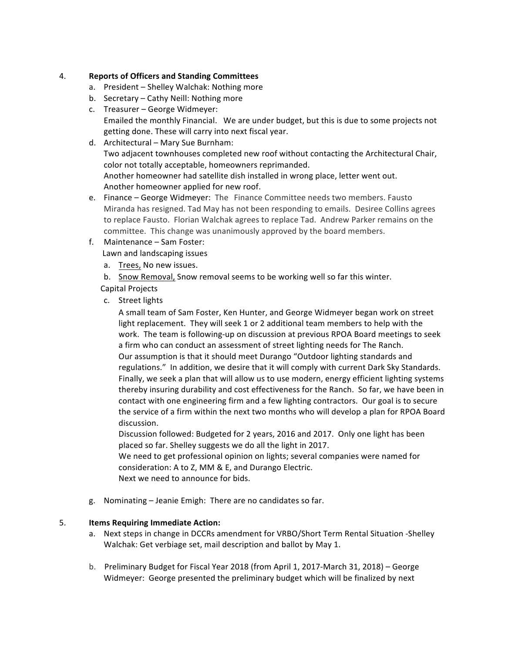### 4. **Reports of Officers and Standing Committees**

- a. President Shelley Walchak: Nothing more
- b. Secretary Cathy Neill: Nothing more
- c. Treasurer George Widmeyer: Emailed the monthly Financial. We are under budget, but this is due to some projects not getting done. These will carry into next fiscal year.
- d. Architectural Mary Sue Burnham: Two adjacent townhouses completed new roof without contacting the Architectural Chair, color not totally acceptable, homeowners reprimanded. Another homeowner had satellite dish installed in wrong place, letter went out. Another homeowner applied for new roof.
- e. Finance George Widmeyer: The Finance Committee needs two members. Fausto Miranda has resigned. Tad May has not been responding to emails. Desiree Collins agrees to replace Fausto. Florian Walchak agrees to replace Tad. Andrew Parker remains on the committee. This change was unanimously approved by the board members.
- f. Maintenance Sam Foster:

Lawn and landscaping issues

- a. Trees, No new issues.
- b. Snow Removal, Snow removal seems to be working well so far this winter.

 Capital Projects

c. Street lights

A small team of Sam Foster, Ken Hunter, and George Widmeyer began work on street light replacement. They will seek 1 or 2 additional team members to help with the work. The team is following-up on discussion at previous RPOA Board meetings to seek a firm who can conduct an assessment of street lighting needs for The Ranch. Our assumption is that it should meet Durango "Outdoor lighting standards and regulations." In addition, we desire that it will comply with current Dark Sky Standards. Finally, we seek a plan that will allow us to use modern, energy efficient lighting systems thereby insuring durability and cost effectiveness for the Ranch. So far, we have been in contact with one engineering firm and a few lighting contractors. Our goal is to secure the service of a firm within the next two months who will develop a plan for RPOA Board discussion. 

Discussion followed: Budgeted for 2 years, 2016 and 2017. Only one light has been placed so far. Shelley suggests we do all the light in 2017.

We need to get professional opinion on lights; several companies were named for consideration: A to Z, MM & E, and Durango Electric. Next we need to announce for bids.

g. Nominating – Jeanie Emigh: There are no candidates so far.

## 5. **Items Requiring Immediate Action:**

- a. Next steps in change in DCCRs amendment for VRBO/Short Term Rental Situation -Shelley Walchak: Get verbiage set, mail description and ballot by May 1.
- b. Preliminary Budget for Fiscal Year 2018 (from April 1, 2017-March 31, 2018) George Widmeyer: George presented the preliminary budget which will be finalized by next